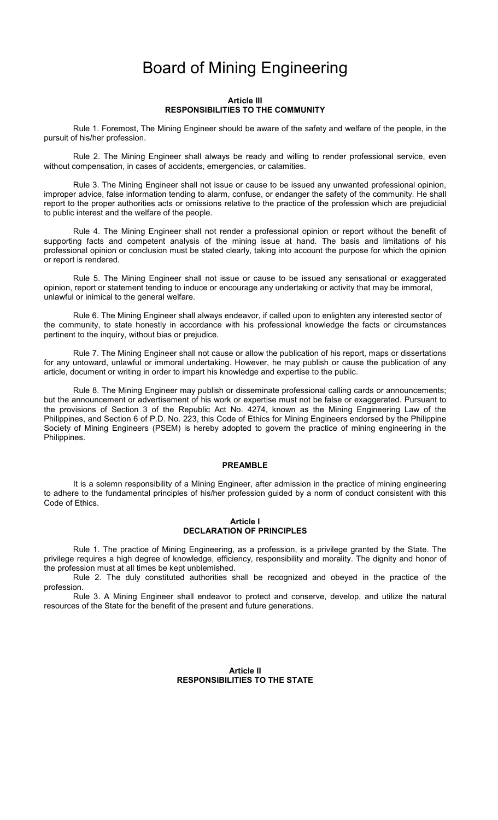# Board of Mining Engineering

#### Article III RESPONSIBILITIES TO THE COMMUNITY

Rule 1. Foremost, The Mining Engineer should be aware of the safety and welfare of the people, in the pursuit of his/her profession.

Rule 2. The Mining Engineer shall always be ready and willing to render professional service, even without compensation, in cases of accidents, emergencies, or calamities.

Rule 3. The Mining Engineer shall not issue or cause to be issued any unwanted professional opinion, improper advice, false information tending to alarm, confuse, or endanger the safety of the community. He shall report to the proper authorities acts or omissions relative to the practice of the profession which are prejudicial to public interest and the welfare of the people.

Rule 4. The Mining Engineer shall not render a professional opinion or report without the benefit of supporting facts and competent analysis of the mining issue at hand. The basis and limitations of his professional opinion or conclusion must be stated clearly, taking into account the purpose for which the opinion or report is rendered.

Rule 5. The Mining Engineer shall not issue or cause to be issued any sensational or exaggerated opinion, report or statement tending to induce or encourage any undertaking or activity that may be immoral, unlawful or inimical to the general welfare.

Rule 6. The Mining Engineer shall always endeavor, if called upon to enlighten any interested sector of the community, to state honestly in accordance with his professional knowledge the facts or circumstances pertinent to the inquiry, without bias or prejudice.

Rule 7. The Mining Engineer shall not cause or allow the publication of his report, maps or dissertations for any untoward, unlawful or immoral undertaking. However, he may publish or cause the publication of any article, document or writing in order to impart his knowledge and expertise to the public.

Rule 8. The Mining Engineer may publish or disseminate professional calling cards or announcements; but the announcement or advertisement of his work or expertise must not be false or exaggerated. Pursuant to the provisions of Section 3 of the Republic Act No. 4274, known as the Mining Engineering Law of the Philippines, and Section 6 of P.D. No. 223, this Code of Ethics for Mining Engineers endorsed by the Philippine Society of Mining Engineers (PSEM) is hereby adopted to govern the practice of mining engineering in the Philippines.

#### PREAMBLE

It is a solemn responsibility of a Mining Engineer, after admission in the practice of mining engineering to adhere to the fundamental principles of his/her profession guided by a norm of conduct consistent with this Code of Ethics.

### Article I DECLARATION OF PRINCIPLES

Rule 1. The practice of Mining Engineering, as a profession, is a privilege granted by the State. The privilege requires a high degree of knowledge, efficiency, responsibility and morality. The dignity and honor of the profession must at all times be kept unblemished.

Rule 2. The duly constituted authorities shall be recognized and obeyed in the practice of the profession.

Rule 3. A Mining Engineer shall endeavor to protect and conserve, develop, and utilize the natural resources of the State for the benefit of the present and future generations.

#### Article II RESPONSIBILITIES TO THE STATE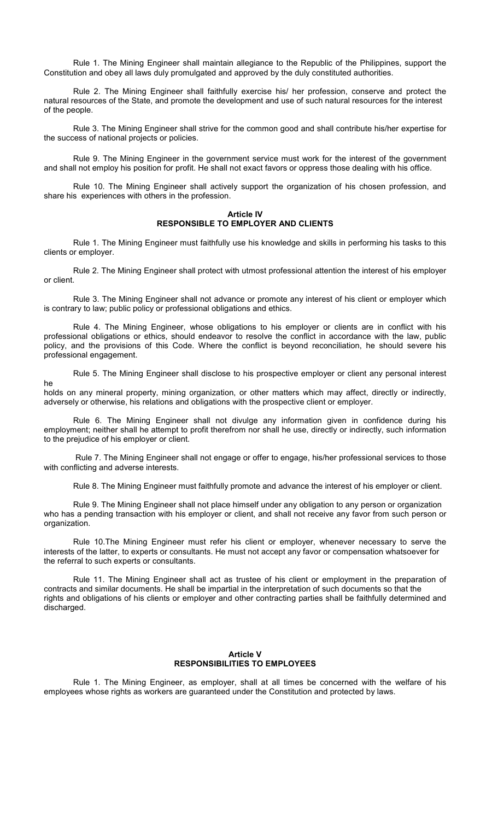Rule 1. The Mining Engineer shall maintain allegiance to the Republic of the Philippines, support the Constitution and obey all laws duly promulgated and approved by the duly constituted authorities.

Rule 2. The Mining Engineer shall faithfully exercise his/ her profession, conserve and protect the natural resources of the State, and promote the development and use of such natural resources for the interest of the people.

Rule 3. The Mining Engineer shall strive for the common good and shall contribute his/her expertise for the success of national projects or policies.

Rule 9. The Mining Engineer in the government service must work for the interest of the government and shall not employ his position for profit. He shall not exact favors or oppress those dealing with his office.

Rule 10. The Mining Engineer shall actively support the organization of his chosen profession, and share his experiences with others in the profession.

## Article IV RESPONSIBLE TO EMPLOYER AND CLIENTS

Rule 1. The Mining Engineer must faithfully use his knowledge and skills in performing his tasks to this clients or employer.

Rule 2. The Mining Engineer shall protect with utmost professional attention the interest of his employer or client.

Rule 3. The Mining Engineer shall not advance or promote any interest of his client or employer which is contrary to law; public policy or professional obligations and ethics.

Rule 4. The Mining Engineer, whose obligations to his employer or clients are in conflict with his professional obligations or ethics, should endeavor to resolve the conflict in accordance with the law, public policy, and the provisions of this Code. Where the conflict is beyond reconciliation, he should severe his professional engagement.

Rule 5. The Mining Engineer shall disclose to his prospective employer or client any personal interest

holds on any mineral property, mining organization, or other matters which may affect, directly or indirectly, adversely or otherwise, his relations and obligations with the prospective client or employer.

he

Rule 6. The Mining Engineer shall not divulge any information given in confidence during his employment; neither shall he attempt to profit therefrom nor shall he use, directly or indirectly, such information to the prejudice of his employer or client.

 Rule 7. The Mining Engineer shall not engage or offer to engage, his/her professional services to those with conflicting and adverse interests.

Rule 8. The Mining Engineer must faithfully promote and advance the interest of his employer or client.

Rule 9. The Mining Engineer shall not place himself under any obligation to any person or organization who has a pending transaction with his employer or client, and shall not receive any favor from such person or organization.

Rule 10.The Mining Engineer must refer his client or employer, whenever necessary to serve the interests of the latter, to experts or consultants. He must not accept any favor or compensation whatsoever for the referral to such experts or consultants.

Rule 11. The Mining Engineer shall act as trustee of his client or employment in the preparation of contracts and similar documents. He shall be impartial in the interpretation of such documents so that the rights and obligations of his clients or employer and other contracting parties shall be faithfully determined and discharged.

#### Article V RESPONSIBILITIES TO EMPLOYEES

Rule 1. The Mining Engineer, as employer, shall at all times be concerned with the welfare of his employees whose rights as workers are guaranteed under the Constitution and protected by laws.